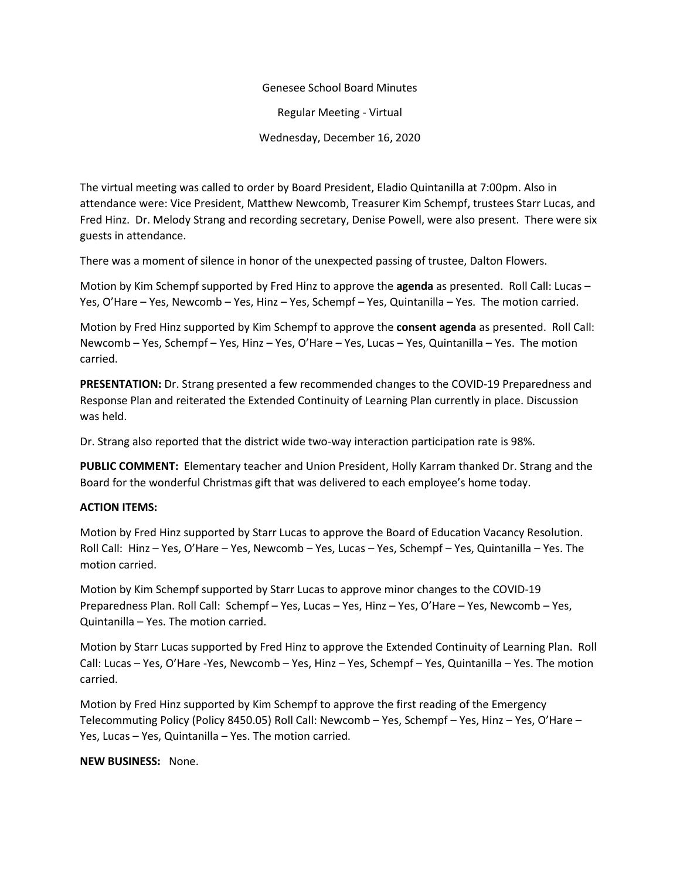## Genesee School Board Minutes

Regular Meeting - Virtual

Wednesday, December 16, 2020

The virtual meeting was called to order by Board President, Eladio Quintanilla at 7:00pm. Also in attendance were: Vice President, Matthew Newcomb, Treasurer Kim Schempf, trustees Starr Lucas, and Fred Hinz. Dr. Melody Strang and recording secretary, Denise Powell, were also present. There were six guests in attendance.

There was a moment of silence in honor of the unexpected passing of trustee, Dalton Flowers.

Motion by Kim Schempf supported by Fred Hinz to approve the **agenda** as presented. Roll Call: Lucas – Yes, O'Hare – Yes, Newcomb – Yes, Hinz – Yes, Schempf – Yes, Quintanilla – Yes. The motion carried.

Motion by Fred Hinz supported by Kim Schempf to approve the **consent agenda** as presented. Roll Call: Newcomb – Yes, Schempf – Yes, Hinz – Yes, O'Hare – Yes, Lucas – Yes, Quintanilla – Yes. The motion carried.

**PRESENTATION:** Dr. Strang presented a few recommended changes to the COVID-19 Preparedness and Response Plan and reiterated the Extended Continuity of Learning Plan currently in place. Discussion was held.

Dr. Strang also reported that the district wide two-way interaction participation rate is 98%.

**PUBLIC COMMENT:** Elementary teacher and Union President, Holly Karram thanked Dr. Strang and the Board for the wonderful Christmas gift that was delivered to each employee's home today.

## **ACTION ITEMS:**

Motion by Fred Hinz supported by Starr Lucas to approve the Board of Education Vacancy Resolution. Roll Call: Hinz – Yes, O'Hare – Yes, Newcomb – Yes, Lucas – Yes, Schempf – Yes, Quintanilla – Yes. The motion carried.

Motion by Kim Schempf supported by Starr Lucas to approve minor changes to the COVID-19 Preparedness Plan. Roll Call: Schempf – Yes, Lucas – Yes, Hinz – Yes, O'Hare – Yes, Newcomb – Yes, Quintanilla – Yes. The motion carried.

Motion by Starr Lucas supported by Fred Hinz to approve the Extended Continuity of Learning Plan. Roll Call: Lucas – Yes, O'Hare -Yes, Newcomb – Yes, Hinz – Yes, Schempf – Yes, Quintanilla – Yes. The motion carried.

Motion by Fred Hinz supported by Kim Schempf to approve the first reading of the Emergency Telecommuting Policy (Policy 8450.05) Roll Call: Newcomb – Yes, Schempf – Yes, Hinz – Yes, O'Hare – Yes, Lucas – Yes, Quintanilla – Yes. The motion carried.

**NEW BUSINESS:** None.